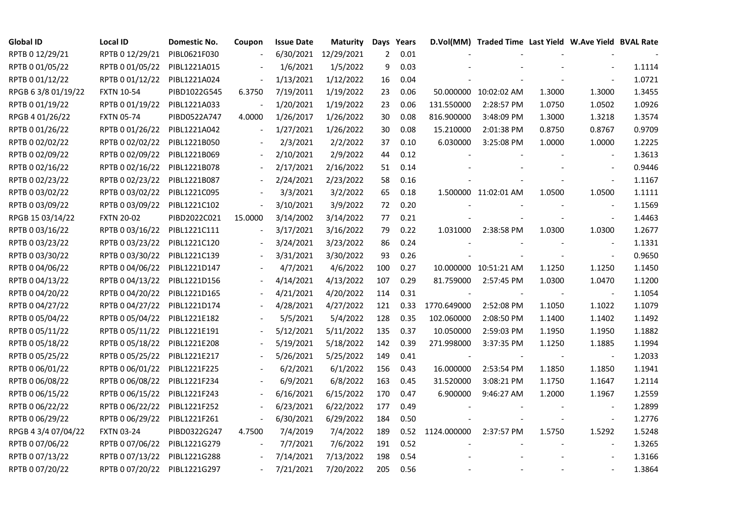| <b>Global ID</b>    | <b>Local ID</b>   | Domestic No. | Coupon                   | <b>Issue Date</b> | <b>Maturity</b>      |     | Days Years |             | D.Vol(MM) Traded Time Last Yield W.Ave Yield BVAL Rate |        |                          |        |
|---------------------|-------------------|--------------|--------------------------|-------------------|----------------------|-----|------------|-------------|--------------------------------------------------------|--------|--------------------------|--------|
| RPTB 0 12/29/21     | RPTB 0 12/29/21   | PIBL0621F030 |                          |                   | 6/30/2021 12/29/2021 | 2   | 0.01       |             |                                                        |        |                          |        |
| RPTB 0 01/05/22     | RPTB 0 01/05/22   | PIBL1221A015 |                          | 1/6/2021          | 1/5/2022             | 9   | 0.03       |             |                                                        |        |                          | 1.1114 |
| RPTB 0 01/12/22     | RPTB 0 01/12/22   | PIBL1221A024 |                          | 1/13/2021         | 1/12/2022            | 16  | 0.04       |             |                                                        |        |                          | 1.0721 |
| RPGB 63/8 01/19/22  | <b>FXTN 10-54</b> | PIBD1022G545 | 6.3750                   | 7/19/2011         | 1/19/2022            | 23  | 0.06       |             | 50.000000 10:02:02 AM                                  | 1.3000 | 1.3000                   | 1.3455 |
| RPTB 0 01/19/22     | RPTB 0 01/19/22   | PIBL1221A033 |                          | 1/20/2021         | 1/19/2022            | 23  | 0.06       | 131.550000  | 2:28:57 PM                                             | 1.0750 | 1.0502                   | 1.0926 |
| RPGB 4 01/26/22     | <b>FXTN 05-74</b> | PIBD0522A747 | 4.0000                   | 1/26/2017         | 1/26/2022            | 30  | 0.08       | 816.900000  | 3:48:09 PM                                             | 1.3000 | 1.3218                   | 1.3574 |
| RPTB 0 01/26/22     | RPTB 0 01/26/22   | PIBL1221A042 | $\overline{\phantom{a}}$ | 1/27/2021         | 1/26/2022            | 30  | 0.08       | 15.210000   | 2:01:38 PM                                             | 0.8750 | 0.8767                   | 0.9709 |
| RPTB 0 02/02/22     | RPTB 0 02/02/22   | PIBL1221B050 |                          | 2/3/2021          | 2/2/2022             | 37  | 0.10       | 6.030000    | 3:25:08 PM                                             | 1.0000 | 1.0000                   | 1.2225 |
| RPTB 0 02/09/22     | RPTB 0 02/09/22   | PIBL1221B069 |                          | 2/10/2021         | 2/9/2022             | 44  | 0.12       |             |                                                        |        |                          | 1.3613 |
| RPTB 0 02/16/22     | RPTB 0 02/16/22   | PIBL1221B078 |                          | 2/17/2021         | 2/16/2022            | 51  | 0.14       |             |                                                        |        |                          | 0.9446 |
| RPTB 0 02/23/22     | RPTB 0 02/23/22   | PIBL1221B087 | $\sim$                   | 2/24/2021         | 2/23/2022            | 58  | 0.16       |             |                                                        |        | $\blacksquare$           | 1.1167 |
| RPTB 0 03/02/22     | RPTB 0 03/02/22   | PIBL1221C095 |                          | 3/3/2021          | 3/2/2022             | 65  | 0.18       |             | 1.500000 11:02:01 AM                                   | 1.0500 | 1.0500                   | 1.1111 |
| RPTB 0 03/09/22     | RPTB 0 03/09/22   | PIBL1221C102 |                          | 3/10/2021         | 3/9/2022             | 72  | 0.20       |             |                                                        |        | $\blacksquare$           | 1.1569 |
| RPGB 15 03/14/22    | <b>FXTN 20-02</b> | PIBD2022C021 | 15.0000                  | 3/14/2002         | 3/14/2022            | 77  | 0.21       |             |                                                        |        | $\blacksquare$           | 1.4463 |
| RPTB 0 03/16/22     | RPTB 0 03/16/22   | PIBL1221C111 |                          | 3/17/2021         | 3/16/2022            | 79  | 0.22       | 1.031000    | 2:38:58 PM                                             | 1.0300 | 1.0300                   | 1.2677 |
| RPTB 0 03/23/22     | RPTB 0 03/23/22   | PIBL1221C120 |                          | 3/24/2021         | 3/23/2022            | 86  | 0.24       |             |                                                        |        |                          | 1.1331 |
| RPTB 0 03/30/22     | RPTB 0 03/30/22   | PIBL1221C139 |                          | 3/31/2021         | 3/30/2022            | 93  | 0.26       |             |                                                        |        | $\blacksquare$           | 0.9650 |
| RPTB 0 04/06/22     | RPTB 0 04/06/22   | PIBL1221D147 |                          | 4/7/2021          | 4/6/2022             | 100 | 0.27       |             | 10.000000 10:51:21 AM                                  | 1.1250 | 1.1250                   | 1.1450 |
| RPTB 0 04/13/22     | RPTB 0 04/13/22   | PIBL1221D156 |                          | 4/14/2021         | 4/13/2022            | 107 | 0.29       | 81.759000   | 2:57:45 PM                                             | 1.0300 | 1.0470                   | 1.1200 |
| RPTB 0 04/20/22     | RPTB 0 04/20/22   | PIBL1221D165 |                          | 4/21/2021         | 4/20/2022            | 114 | 0.31       |             |                                                        |        |                          | 1.1054 |
| RPTB 0 04/27/22     | RPTB 0 04/27/22   | PIBL1221D174 |                          | 4/28/2021         | 4/27/2022            | 121 | 0.33       | 1770.649000 | 2:52:08 PM                                             | 1.1050 | 1.1022                   | 1.1079 |
| RPTB 0 05/04/22     | RPTB 0 05/04/22   | PIBL1221E182 |                          | 5/5/2021          | 5/4/2022             | 128 | 0.35       | 102.060000  | 2:08:50 PM                                             | 1.1400 | 1.1402                   | 1.1492 |
| RPTB 0 05/11/22     | RPTB 0 05/11/22   | PIBL1221E191 |                          | 5/12/2021         | 5/11/2022            | 135 | 0.37       | 10.050000   | 2:59:03 PM                                             | 1.1950 | 1.1950                   | 1.1882 |
| RPTB 0 05/18/22     | RPTB 0 05/18/22   | PIBL1221E208 |                          | 5/19/2021         | 5/18/2022            | 142 | 0.39       | 271.998000  | 3:37:35 PM                                             | 1.1250 | 1.1885                   | 1.1994 |
| RPTB 0 05/25/22     | RPTB 0 05/25/22   | PIBL1221E217 |                          | 5/26/2021         | 5/25/2022            | 149 | 0.41       |             |                                                        |        | $\overline{\phantom{a}}$ | 1.2033 |
| RPTB 0 06/01/22     | RPTB 0 06/01/22   | PIBL1221F225 |                          | 6/2/2021          | 6/1/2022             | 156 | 0.43       | 16.000000   | 2:53:54 PM                                             | 1.1850 | 1.1850                   | 1.1941 |
| RPTB 0 06/08/22     | RPTB 0 06/08/22   | PIBL1221F234 |                          | 6/9/2021          | 6/8/2022             | 163 | 0.45       | 31.520000   | 3:08:21 PM                                             | 1.1750 | 1.1647                   | 1.2114 |
| RPTB 0 06/15/22     | RPTB 0 06/15/22   | PIBL1221F243 |                          | 6/16/2021         | 6/15/2022            | 170 | 0.47       | 6.900000    | 9:46:27 AM                                             | 1.2000 | 1.1967                   | 1.2559 |
| RPTB 0 06/22/22     | RPTB 0 06/22/22   | PIBL1221F252 |                          | 6/23/2021         | 6/22/2022            | 177 | 0.49       |             |                                                        |        |                          | 1.2899 |
| RPTB 0 06/29/22     | RPTB 0 06/29/22   | PIBL1221F261 |                          | 6/30/2021         | 6/29/2022            | 184 | 0.50       |             |                                                        |        | $\overline{\phantom{a}}$ | 1.2776 |
| RPGB 4 3/4 07/04/22 | <b>FXTN 03-24</b> | PIBD0322G247 | 4.7500                   | 7/4/2019          | 7/4/2022             | 189 | 0.52       | 1124.000000 | 2:37:57 PM                                             | 1.5750 | 1.5292                   | 1.5248 |
| RPTB 0 07/06/22     | RPTB 0 07/06/22   | PIBL1221G279 |                          | 7/7/2021          | 7/6/2022             | 191 | 0.52       |             |                                                        |        | $\blacksquare$           | 1.3265 |
| RPTB 0 07/13/22     | RPTB 0 07/13/22   | PIBL1221G288 |                          | 7/14/2021         | 7/13/2022            | 198 | 0.54       |             |                                                        |        |                          | 1.3166 |
| RPTB 0 07/20/22     | RPTB 0 07/20/22   | PIBL1221G297 |                          | 7/21/2021         | 7/20/2022            | 205 | 0.56       |             |                                                        |        |                          | 1.3864 |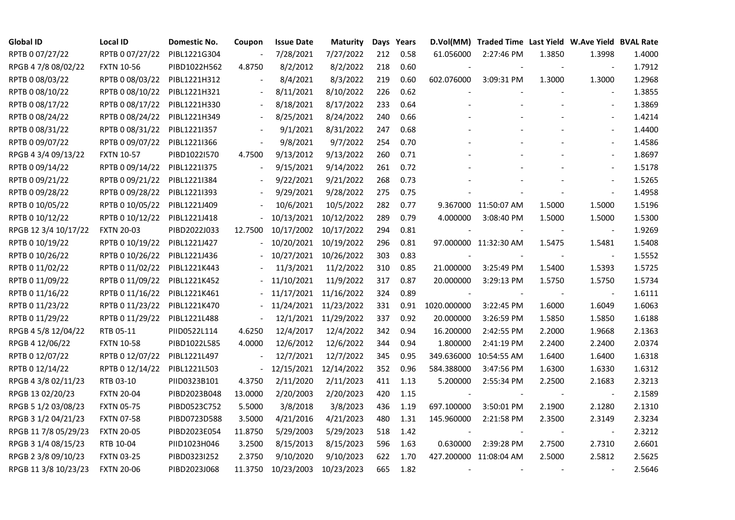| <b>Global ID</b>     | <b>Local ID</b>   | Domestic No. | Coupon                   | <b>Issue Date</b> | <b>Maturity</b>       |     | Days Years |                          | D.Vol(MM) Traded Time Last Yield W.Ave Yield BVAL Rate |        |                          |        |
|----------------------|-------------------|--------------|--------------------------|-------------------|-----------------------|-----|------------|--------------------------|--------------------------------------------------------|--------|--------------------------|--------|
| RPTB 0 07/27/22      | RPTB 0 07/27/22   | PIBL1221G304 |                          | 7/28/2021         | 7/27/2022             | 212 | 0.58       | 61.056000                | 2:27:46 PM                                             | 1.3850 | 1.3998                   | 1.4000 |
| RPGB 4 7/8 08/02/22  | <b>FXTN 10-56</b> | PIBD1022H562 | 4.8750                   | 8/2/2012          | 8/2/2022              | 218 | 0.60       |                          |                                                        |        |                          | 1.7912 |
| RPTB 0 08/03/22      | RPTB 0 08/03/22   | PIBL1221H312 |                          | 8/4/2021          | 8/3/2022              | 219 | 0.60       | 602.076000               | 3:09:31 PM                                             | 1.3000 | 1.3000                   | 1.2968 |
| RPTB 0 08/10/22      | RPTB 0 08/10/22   | PIBL1221H321 | $\overline{\phantom{a}}$ | 8/11/2021         | 8/10/2022             | 226 | 0.62       |                          |                                                        |        | $\blacksquare$           | 1.3855 |
| RPTB 0 08/17/22      | RPTB 0 08/17/22   | PIBL1221H330 | $\overline{\phantom{a}}$ | 8/18/2021         | 8/17/2022             | 233 | 0.64       |                          |                                                        |        | $\overline{\phantom{a}}$ | 1.3869 |
| RPTB 0 08/24/22      | RPTB 0 08/24/22   | PIBL1221H349 |                          | 8/25/2021         | 8/24/2022             | 240 | 0.66       |                          |                                                        |        | $\blacksquare$           | 1.4214 |
| RPTB 0 08/31/22      | RPTB 0 08/31/22   | PIBL1221I357 |                          | 9/1/2021          | 8/31/2022             | 247 | 0.68       |                          |                                                        |        | $\overline{\phantom{a}}$ | 1.4400 |
| RPTB 0 09/07/22      | RPTB 0 09/07/22   | PIBL1221I366 | $\overline{\phantom{a}}$ | 9/8/2021          | 9/7/2022              | 254 | 0.70       |                          |                                                        |        | $\blacksquare$           | 1.4586 |
| RPGB 4 3/4 09/13/22  | <b>FXTN 10-57</b> | PIBD1022I570 | 4.7500                   | 9/13/2012         | 9/13/2022             | 260 | 0.71       |                          |                                                        |        |                          | 1.8697 |
| RPTB 0 09/14/22      | RPTB 0 09/14/22   | PIBL1221I375 | $\blacksquare$           | 9/15/2021         | 9/14/2022             | 261 | 0.72       |                          |                                                        |        | $\blacksquare$           | 1.5178 |
| RPTB 0 09/21/22      | RPTB 0 09/21/22   | PIBL1221I384 | $\overline{\phantom{a}}$ | 9/22/2021         | 9/21/2022             | 268 | 0.73       |                          |                                                        |        | $\blacksquare$           | 1.5265 |
| RPTB 0 09/28/22      | RPTB 0 09/28/22   | PIBL1221I393 |                          | 9/29/2021         | 9/28/2022             | 275 | 0.75       |                          |                                                        |        | $\blacksquare$           | 1.4958 |
| RPTB 0 10/05/22      | RPTB 0 10/05/22   | PIBL1221J409 |                          | 10/6/2021         | 10/5/2022             | 282 | 0.77       |                          | 9.367000 11:50:07 AM                                   | 1.5000 | 1.5000                   | 1.5196 |
| RPTB 0 10/12/22      | RPTB 0 10/12/22   | PIBL1221J418 |                          | 10/13/2021        | 10/12/2022            | 289 | 0.79       | 4.000000                 | 3:08:40 PM                                             | 1.5000 | 1.5000                   | 1.5300 |
| RPGB 12 3/4 10/17/22 | <b>FXTN 20-03</b> | PIBD2022J033 | 12.7500                  |                   | 10/17/2002 10/17/2022 | 294 | 0.81       |                          |                                                        |        | $\blacksquare$           | 1.9269 |
| RPTB 0 10/19/22      | RPTB 0 10/19/22   | PIBL1221J427 |                          | 10/20/2021        | 10/19/2022            | 296 | 0.81       |                          | 97.000000 11:32:30 AM                                  | 1.5475 | 1.5481                   | 1.5408 |
| RPTB 0 10/26/22      | RPTB 0 10/26/22   | PIBL1221J436 |                          |                   | 10/27/2021 10/26/2022 | 303 | 0.83       |                          |                                                        |        |                          | 1.5552 |
| RPTB 0 11/02/22      | RPTB 0 11/02/22   | PIBL1221K443 |                          | 11/3/2021         | 11/2/2022             | 310 | 0.85       | 21.000000                | 3:25:49 PM                                             | 1.5400 | 1.5393                   | 1.5725 |
| RPTB 0 11/09/22      | RPTB 0 11/09/22   | PIBL1221K452 |                          | 11/10/2021        | 11/9/2022             | 317 | 0.87       | 20.000000                | 3:29:13 PM                                             | 1.5750 | 1.5750                   | 1.5734 |
| RPTB 0 11/16/22      | RPTB 0 11/16/22   | PIBL1221K461 |                          |                   | 11/17/2021 11/16/2022 | 324 | 0.89       | $\overline{\phantom{a}}$ |                                                        |        |                          | 1.6111 |
| RPTB 0 11/23/22      | RPTB 0 11/23/22   | PIBL1221K470 |                          |                   | 11/24/2021 11/23/2022 | 331 | 0.91       | 1020.000000              | 3:22:45 PM                                             | 1.6000 | 1.6049                   | 1.6063 |
| RPTB 0 11/29/22      | RPTB 0 11/29/22   | PIBL1221L488 | $\Box$                   |                   | 12/1/2021 11/29/2022  | 337 | 0.92       | 20.000000                | 3:26:59 PM                                             | 1.5850 | 1.5850                   | 1.6188 |
| RPGB 4 5/8 12/04/22  | RTB 05-11         | PIID0522L114 | 4.6250                   | 12/4/2017         | 12/4/2022             | 342 | 0.94       | 16.200000                | 2:42:55 PM                                             | 2.2000 | 1.9668                   | 2.1363 |
| RPGB 4 12/06/22      | <b>FXTN 10-58</b> | PIBD1022L585 | 4.0000                   | 12/6/2012         | 12/6/2022             | 344 | 0.94       | 1.800000                 | 2:41:19 PM                                             | 2.2400 | 2.2400                   | 2.0374 |
| RPTB 0 12/07/22      | RPTB 0 12/07/22   | PIBL1221L497 | $\overline{\phantom{a}}$ | 12/7/2021         | 12/7/2022             | 345 | 0.95       |                          | 349.636000 10:54:55 AM                                 | 1.6400 | 1.6400                   | 1.6318 |
| RPTB 0 12/14/22      | RPTB 0 12/14/22   | PIBL1221L503 | $\blacksquare$           | 12/15/2021        | 12/14/2022            | 352 | 0.96       | 584.388000               | 3:47:56 PM                                             | 1.6300 | 1.6330                   | 1.6312 |
| RPGB 4 3/8 02/11/23  | RTB 03-10         | PIID0323B101 | 4.3750                   | 2/11/2020         | 2/11/2023             | 411 | 1.13       | 5.200000                 | 2:55:34 PM                                             | 2.2500 | 2.1683                   | 2.3213 |
| RPGB 13 02/20/23     | <b>FXTN 20-04</b> | PIBD2023B048 | 13.0000                  | 2/20/2003         | 2/20/2023             | 420 | 1.15       | $\sim$                   |                                                        |        | $\blacksquare$           | 2.1589 |
| RPGB 5 1/2 03/08/23  | <b>FXTN 05-75</b> | PIBD0523C752 | 5.5000                   | 3/8/2018          | 3/8/2023              | 436 | 1.19       | 697.100000               | 3:50:01 PM                                             | 2.1900 | 2.1280                   | 2.1310 |
| RPGB 3 1/2 04/21/23  | <b>FXTN 07-58</b> | PIBD0723D588 | 3.5000                   | 4/21/2016         | 4/21/2023             | 480 | 1.31       | 145.960000               | 2:21:58 PM                                             | 2.3500 | 2.3149                   | 2.3234 |
| RPGB 11 7/8 05/29/23 | <b>FXTN 20-05</b> | PIBD2023E054 | 11.8750                  | 5/29/2003         | 5/29/2023             | 518 | 1.42       |                          |                                                        |        |                          | 2.3212 |
| RPGB 3 1/4 08/15/23  | RTB 10-04         | PIID1023H046 | 3.2500                   | 8/15/2013         | 8/15/2023             | 596 | 1.63       | 0.630000                 | 2:39:28 PM                                             | 2.7500 | 2.7310                   | 2.6601 |
| RPGB 2 3/8 09/10/23  | <b>FXTN 03-25</b> | PIBD0323I252 | 2.3750                   | 9/10/2020         | 9/10/2023             | 622 | 1.70       |                          | 427.200000 11:08:04 AM                                 | 2.5000 | 2.5812                   | 2.5625 |
| RPGB 11 3/8 10/23/23 | <b>FXTN 20-06</b> | PIBD2023J068 | 11.3750                  | 10/23/2003        | 10/23/2023            | 665 | 1.82       | $\overline{\phantom{a}}$ |                                                        |        |                          | 2.5646 |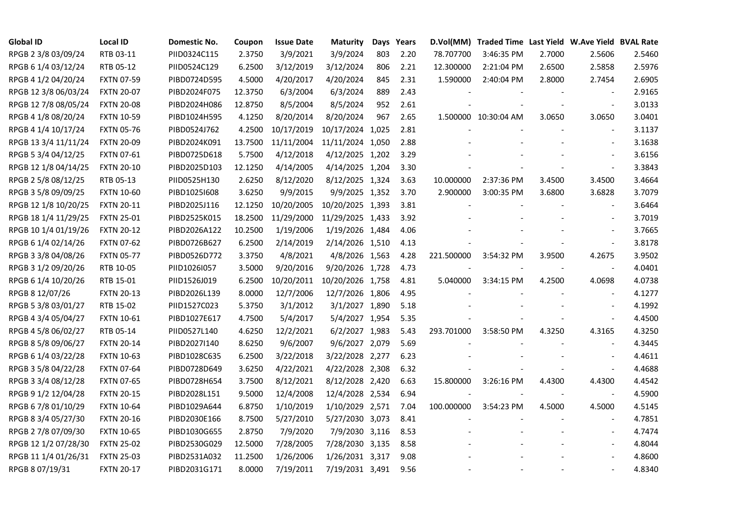| <b>Global ID</b>     | <b>Local ID</b>   | Domestic No. | Coupon  | <b>Issue Date</b> | <b>Maturity</b>  | Days | Years |                          | D.Vol(MM) Traded Time Last Yield W.Ave Yield BVAL Rate |        |                          |        |
|----------------------|-------------------|--------------|---------|-------------------|------------------|------|-------|--------------------------|--------------------------------------------------------|--------|--------------------------|--------|
| RPGB 2 3/8 03/09/24  | RTB 03-11         | PIID0324C115 | 2.3750  | 3/9/2021          | 3/9/2024         | 803  | 2.20  | 78.707700                | 3:46:35 PM                                             | 2.7000 | 2.5606                   | 2.5460 |
| RPGB 6 1/4 03/12/24  | RTB 05-12         | PIID0524C129 | 6.2500  | 3/12/2019         | 3/12/2024        | 806  | 2.21  | 12.300000                | 2:21:04 PM                                             | 2.6500 | 2.5858                   | 2.5976 |
| RPGB 4 1/2 04/20/24  | <b>FXTN 07-59</b> | PIBD0724D595 | 4.5000  | 4/20/2017         | 4/20/2024        | 845  | 2.31  | 1.590000                 | 2:40:04 PM                                             | 2.8000 | 2.7454                   | 2.6905 |
| RPGB 12 3/8 06/03/24 | <b>FXTN 20-07</b> | PIBD2024F075 | 12.3750 | 6/3/2004          | 6/3/2024         | 889  | 2.43  |                          |                                                        |        |                          | 2.9165 |
| RPGB 12 7/8 08/05/24 | <b>FXTN 20-08</b> | PIBD2024H086 | 12.8750 | 8/5/2004          | 8/5/2024         | 952  | 2.61  |                          |                                                        |        | $\blacksquare$           | 3.0133 |
| RPGB 4 1/8 08/20/24  | <b>FXTN 10-59</b> | PIBD1024H595 | 4.1250  | 8/20/2014         | 8/20/2024        | 967  | 2.65  |                          | 1.500000 10:30:04 AM                                   | 3.0650 | 3.0650                   | 3.0401 |
| RPGB 4 1/4 10/17/24  | <b>FXTN 05-76</b> | PIBD0524J762 | 4.2500  | 10/17/2019        | 10/17/2024 1,025 |      | 2.81  |                          |                                                        |        | $\sim$                   | 3.1137 |
| RPGB 13 3/4 11/11/24 | <b>FXTN 20-09</b> | PIBD2024K091 | 13.7500 | 11/11/2004        | 11/11/2024 1,050 |      | 2.88  |                          |                                                        |        |                          | 3.1638 |
| RPGB 5 3/4 04/12/25  | <b>FXTN 07-61</b> | PIBD0725D618 | 5.7500  | 4/12/2018         | 4/12/2025 1,202  |      | 3.29  |                          |                                                        |        |                          | 3.6156 |
| RPGB 12 1/8 04/14/25 | <b>FXTN 20-10</b> | PIBD2025D103 | 12.1250 | 4/14/2005         | 4/14/2025 1,204  |      | 3.30  |                          |                                                        |        | $\blacksquare$           | 3.3843 |
| RPGB 2 5/8 08/12/25  | RTB 05-13         | PIID0525H130 | 2.6250  | 8/12/2020         | 8/12/2025 1,324  |      | 3.63  | 10.000000                | 2:37:36 PM                                             | 3.4500 | 3.4500                   | 3.4664 |
| RPGB 3 5/8 09/09/25  | <b>FXTN 10-60</b> | PIBD10251608 | 3.6250  | 9/9/2015          | 9/9/2025 1,352   |      | 3.70  | 2.900000                 | 3:00:35 PM                                             | 3.6800 | 3.6828                   | 3.7079 |
| RPGB 12 1/8 10/20/25 | <b>FXTN 20-11</b> | PIBD2025J116 | 12.1250 | 10/20/2005        | 10/20/2025 1,393 |      | 3.81  |                          |                                                        |        | $\blacksquare$           | 3.6464 |
| RPGB 18 1/4 11/29/25 | <b>FXTN 25-01</b> | PIBD2525K015 | 18.2500 | 11/29/2000        | 11/29/2025 1,433 |      | 3.92  |                          |                                                        |        |                          | 3.7019 |
| RPGB 10 1/4 01/19/26 | <b>FXTN 20-12</b> | PIBD2026A122 | 10.2500 | 1/19/2006         | 1/19/2026 1,484  |      | 4.06  |                          |                                                        |        | $\blacksquare$           | 3.7665 |
| RPGB 6 1/4 02/14/26  | <b>FXTN 07-62</b> | PIBD0726B627 | 6.2500  | 2/14/2019         | 2/14/2026 1,510  |      | 4.13  |                          |                                                        |        |                          | 3.8178 |
| RPGB 3 3/8 04/08/26  | <b>FXTN 05-77</b> | PIBD0526D772 | 3.3750  | 4/8/2021          | 4/8/2026 1,563   |      | 4.28  | 221.500000               | 3:54:32 PM                                             | 3.9500 | 4.2675                   | 3.9502 |
| RPGB 3 1/2 09/20/26  | RTB 10-05         | PIID1026I057 | 3.5000  | 9/20/2016         | 9/20/2026 1,728  |      | 4.73  |                          |                                                        |        | $\blacksquare$           | 4.0401 |
| RPGB 6 1/4 10/20/26  | RTB 15-01         | PIID1526J019 | 6.2500  | 10/20/2011        | 10/20/2026 1,758 |      | 4.81  | 5.040000                 | 3:34:15 PM                                             | 4.2500 | 4.0698                   | 4.0738 |
| RPGB 8 12/07/26      | <b>FXTN 20-13</b> | PIBD2026L139 | 8.0000  | 12/7/2006         | 12/7/2026 1,806  |      | 4.95  |                          |                                                        |        | $\blacksquare$           | 4.1277 |
| RPGB 5 3/8 03/01/27  | RTB 15-02         | PIID1527C023 | 5.3750  | 3/1/2012          | 3/1/2027 1,890   |      | 5.18  |                          |                                                        |        |                          | 4.1992 |
| RPGB 4 3/4 05/04/27  | <b>FXTN 10-61</b> | PIBD1027E617 | 4.7500  | 5/4/2017          | 5/4/2027 1,954   |      | 5.35  |                          |                                                        |        | $\sim$                   | 4.4500 |
| RPGB 4 5/8 06/02/27  | RTB 05-14         | PIID0527L140 | 4.6250  | 12/2/2021         | 6/2/2027 1,983   |      | 5.43  | 293.701000               | 3:58:50 PM                                             | 4.3250 | 4.3165                   | 4.3250 |
| RPGB 8 5/8 09/06/27  | <b>FXTN 20-14</b> | PIBD2027I140 | 8.6250  | 9/6/2007          | 9/6/2027 2,079   |      | 5.69  |                          |                                                        |        |                          | 4.3445 |
| RPGB 6 1/4 03/22/28  | <b>FXTN 10-63</b> | PIBD1028C635 | 6.2500  | 3/22/2018         | 3/22/2028 2,277  |      | 6.23  |                          |                                                        |        |                          | 4.4611 |
| RPGB 3 5/8 04/22/28  | <b>FXTN 07-64</b> | PIBD0728D649 | 3.6250  | 4/22/2021         | 4/22/2028 2,308  |      | 6.32  |                          |                                                        |        | $\blacksquare$           | 4.4688 |
| RPGB 3 3/4 08/12/28  | <b>FXTN 07-65</b> | PIBD0728H654 | 3.7500  | 8/12/2021         | 8/12/2028 2,420  |      | 6.63  | 15.800000                | 3:26:16 PM                                             | 4.4300 | 4.4300                   | 4.4542 |
| RPGB 9 1/2 12/04/28  | <b>FXTN 20-15</b> | PIBD2028L151 | 9.5000  | 12/4/2008         | 12/4/2028 2,534  |      | 6.94  | $\overline{\phantom{a}}$ |                                                        |        | $\blacksquare$           | 4.5900 |
| RPGB 67/8 01/10/29   | <b>FXTN 10-64</b> | PIBD1029A644 | 6.8750  | 1/10/2019         | 1/10/2029 2,571  |      | 7.04  | 100.000000               | 3:54:23 PM                                             | 4.5000 | 4.5000                   | 4.5145 |
| RPGB 8 3/4 05/27/30  | <b>FXTN 20-16</b> | PIBD2030E166 | 8.7500  | 5/27/2010         | 5/27/2030 3,073  |      | 8.41  |                          |                                                        |        |                          | 4.7851 |
| RPGB 2 7/8 07/09/30  | <b>FXTN 10-65</b> | PIBD1030G655 | 2.8750  | 7/9/2020          | 7/9/2030 3,116   |      | 8.53  |                          |                                                        |        | $\overline{\phantom{a}}$ | 4.7474 |
| RPGB 12 1/2 07/28/30 | <b>FXTN 25-02</b> | PIBD2530G029 | 12.5000 | 7/28/2005         | 7/28/2030 3,135  |      | 8.58  |                          |                                                        |        |                          | 4.8044 |
| RPGB 11 1/4 01/26/31 | <b>FXTN 25-03</b> | PIBD2531A032 | 11.2500 | 1/26/2006         | 1/26/2031 3,317  |      | 9.08  |                          |                                                        |        |                          | 4.8600 |
| RPGB 8 07/19/31      | <b>FXTN 20-17</b> | PIBD2031G171 | 8.0000  | 7/19/2011         | 7/19/2031 3,491  |      | 9.56  |                          |                                                        |        | $\blacksquare$           | 4.8340 |